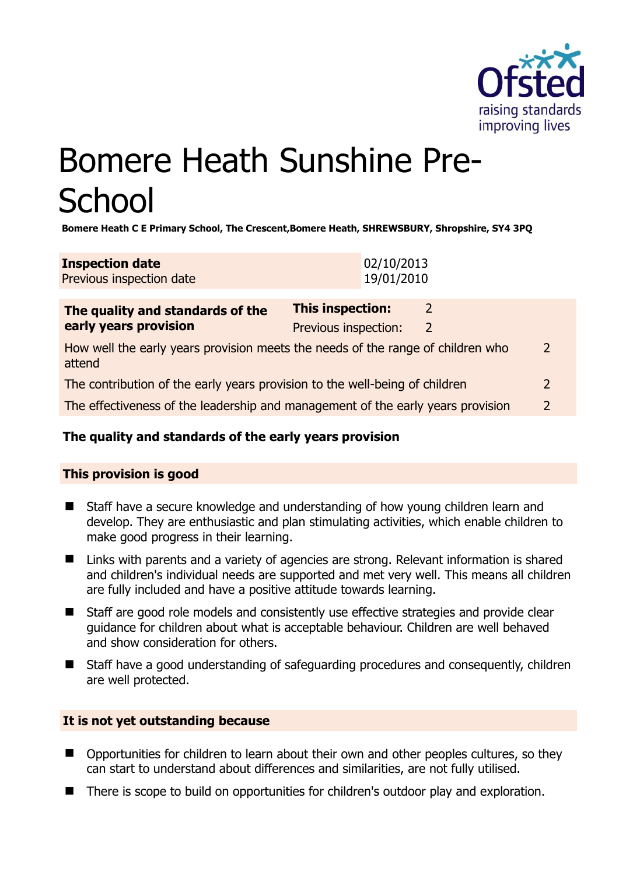

# Bomere Heath Sunshine Pre-**School**

**Bomere Heath C E Primary School, The Crescent,Bomere Heath, SHREWSBURY, Shropshire, SY4 3PQ** 

| <b>Inspection date</b>   | 02/10/2013 |
|--------------------------|------------|
| Previous inspection date | 19/01/2010 |

| The quality and standards of the<br>early years provision                                 | This inspection:     | 2 |               |
|-------------------------------------------------------------------------------------------|----------------------|---|---------------|
|                                                                                           | Previous inspection: | 2 |               |
| How well the early years provision meets the needs of the range of children who<br>attend |                      |   | $\mathcal{L}$ |
| The contribution of the early years provision to the well-being of children               |                      |   | $\mathcal{P}$ |
| The effectiveness of the leadership and management of the early years provision           |                      |   | $\mathcal{P}$ |
|                                                                                           |                      |   |               |

# **The quality and standards of the early years provision**

# **This provision is good**

- Staff have a secure knowledge and understanding of how young children learn and develop. They are enthusiastic and plan stimulating activities, which enable children to make good progress in their learning.
- Links with parents and a variety of agencies are strong. Relevant information is shared and children's individual needs are supported and met very well. This means all children are fully included and have a positive attitude towards learning.
- Staff are good role models and consistently use effective strategies and provide clear guidance for children about what is acceptable behaviour. Children are well behaved and show consideration for others.
- Staff have a good understanding of safeguarding procedures and consequently, children are well protected.

# **It is not yet outstanding because**

- Opportunities for children to learn about their own and other peoples cultures, so they can start to understand about differences and similarities, are not fully utilised.
- There is scope to build on opportunities for children's outdoor play and exploration.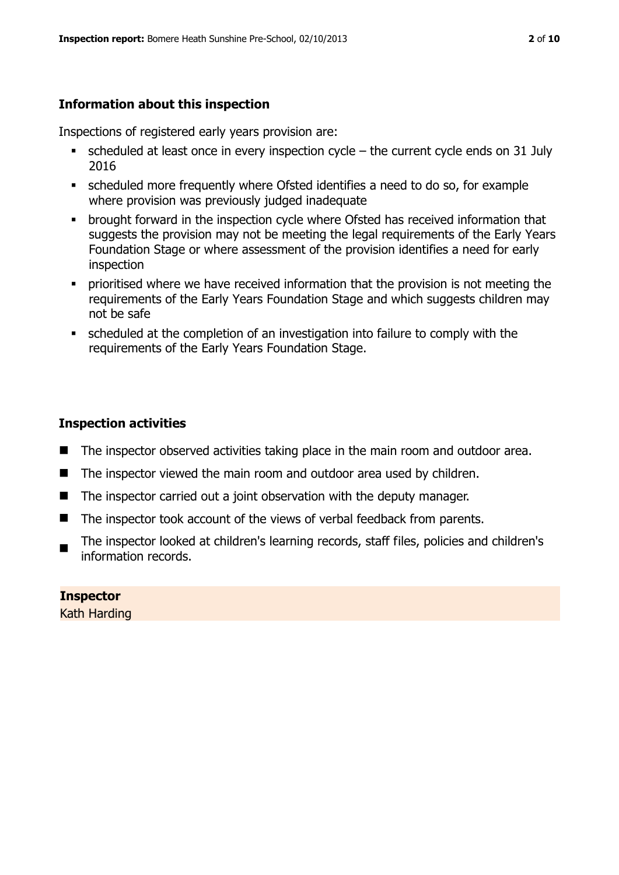# **Information about this inspection**

Inspections of registered early years provision are:

- scheduled at least once in every inspection cycle the current cycle ends on 31 July 2016
- scheduled more frequently where Ofsted identifies a need to do so, for example where provision was previously judged inadequate
- **•** brought forward in the inspection cycle where Ofsted has received information that suggests the provision may not be meeting the legal requirements of the Early Years Foundation Stage or where assessment of the provision identifies a need for early inspection
- **•** prioritised where we have received information that the provision is not meeting the requirements of the Early Years Foundation Stage and which suggests children may not be safe
- scheduled at the completion of an investigation into failure to comply with the requirements of the Early Years Foundation Stage.

# **Inspection activities**

- The inspector observed activities taking place in the main room and outdoor area.
- The inspector viewed the main room and outdoor area used by children.
- The inspector carried out a joint observation with the deputy manager.
- The inspector took account of the views of verbal feedback from parents.
- The inspector looked at children's learning records, staff files, policies and children's information records.

# **Inspector**

Kath Harding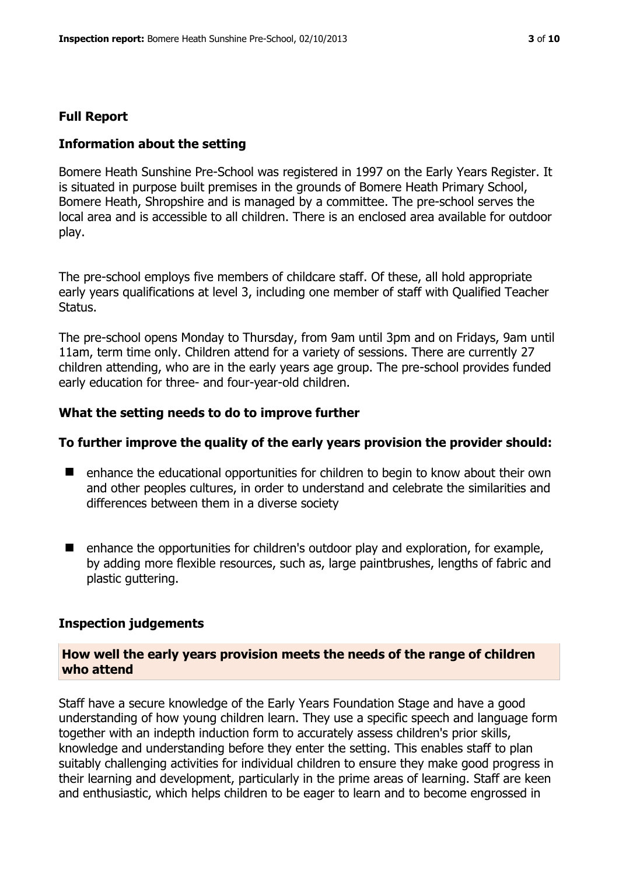#### **Full Report**

#### **Information about the setting**

Bomere Heath Sunshine Pre-School was registered in 1997 on the Early Years Register. It is situated in purpose built premises in the grounds of Bomere Heath Primary School, Bomere Heath, Shropshire and is managed by a committee. The pre-school serves the local area and is accessible to all children. There is an enclosed area available for outdoor play.

The pre-school employs five members of childcare staff. Of these, all hold appropriate early years qualifications at level 3, including one member of staff with Qualified Teacher Status.

The pre-school opens Monday to Thursday, from 9am until 3pm and on Fridays, 9am until 11am, term time only. Children attend for a variety of sessions. There are currently 27 children attending, who are in the early years age group. The pre-school provides funded early education for three- and four-year-old children.

#### **What the setting needs to do to improve further**

#### **To further improve the quality of the early years provision the provider should:**

- enhance the educational opportunities for children to begin to know about their own and other peoples cultures, in order to understand and celebrate the similarities and differences between them in a diverse society
- enhance the opportunities for children's outdoor play and exploration, for example, by adding more flexible resources, such as, large paintbrushes, lengths of fabric and plastic guttering.

#### **Inspection judgements**

#### **How well the early years provision meets the needs of the range of children who attend**

Staff have a secure knowledge of the Early Years Foundation Stage and have a good understanding of how young children learn. They use a specific speech and language form together with an indepth induction form to accurately assess children's prior skills, knowledge and understanding before they enter the setting. This enables staff to plan suitably challenging activities for individual children to ensure they make good progress in their learning and development, particularly in the prime areas of learning. Staff are keen and enthusiastic, which helps children to be eager to learn and to become engrossed in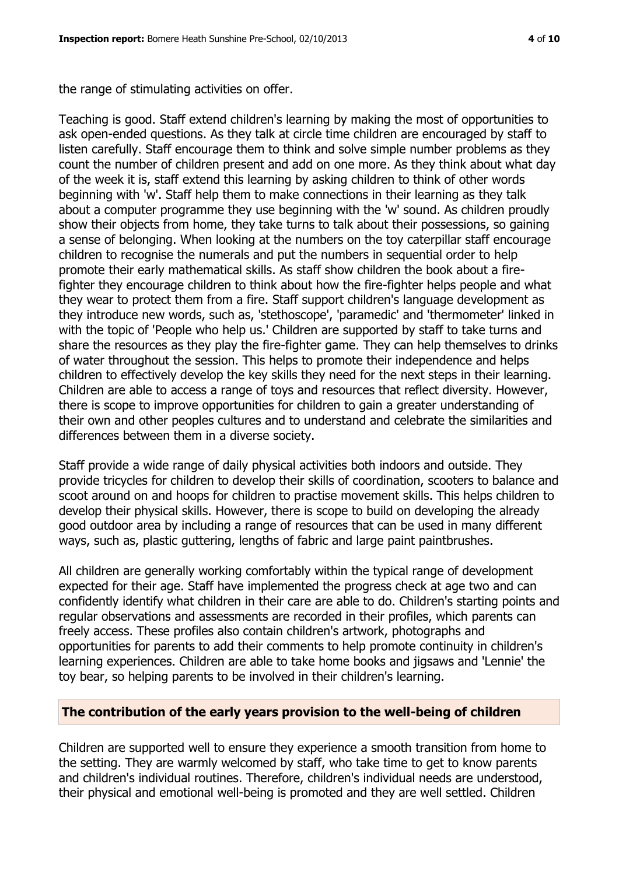the range of stimulating activities on offer.

Teaching is good. Staff extend children's learning by making the most of opportunities to ask open-ended questions. As they talk at circle time children are encouraged by staff to listen carefully. Staff encourage them to think and solve simple number problems as they count the number of children present and add on one more. As they think about what day of the week it is, staff extend this learning by asking children to think of other words beginning with 'w'. Staff help them to make connections in their learning as they talk about a computer programme they use beginning with the 'w' sound. As children proudly show their objects from home, they take turns to talk about their possessions, so gaining a sense of belonging. When looking at the numbers on the toy caterpillar staff encourage children to recognise the numerals and put the numbers in sequential order to help promote their early mathematical skills. As staff show children the book about a firefighter they encourage children to think about how the fire-fighter helps people and what they wear to protect them from a fire. Staff support children's language development as they introduce new words, such as, 'stethoscope', 'paramedic' and 'thermometer' linked in with the topic of 'People who help us.' Children are supported by staff to take turns and share the resources as they play the fire-fighter game. They can help themselves to drinks of water throughout the session. This helps to promote their independence and helps children to effectively develop the key skills they need for the next steps in their learning. Children are able to access a range of toys and resources that reflect diversity. However, there is scope to improve opportunities for children to gain a greater understanding of their own and other peoples cultures and to understand and celebrate the similarities and differences between them in a diverse society.

Staff provide a wide range of daily physical activities both indoors and outside. They provide tricycles for children to develop their skills of coordination, scooters to balance and scoot around on and hoops for children to practise movement skills. This helps children to develop their physical skills. However, there is scope to build on developing the already good outdoor area by including a range of resources that can be used in many different ways, such as, plastic guttering, lengths of fabric and large paint paintbrushes.

All children are generally working comfortably within the typical range of development expected for their age. Staff have implemented the progress check at age two and can confidently identify what children in their care are able to do. Children's starting points and regular observations and assessments are recorded in their profiles, which parents can freely access. These profiles also contain children's artwork, photographs and opportunities for parents to add their comments to help promote continuity in children's learning experiences. Children are able to take home books and jigsaws and 'Lennie' the toy bear, so helping parents to be involved in their children's learning.

#### **The contribution of the early years provision to the well-being of children**

Children are supported well to ensure they experience a smooth transition from home to the setting. They are warmly welcomed by staff, who take time to get to know parents and children's individual routines. Therefore, children's individual needs are understood, their physical and emotional well-being is promoted and they are well settled. Children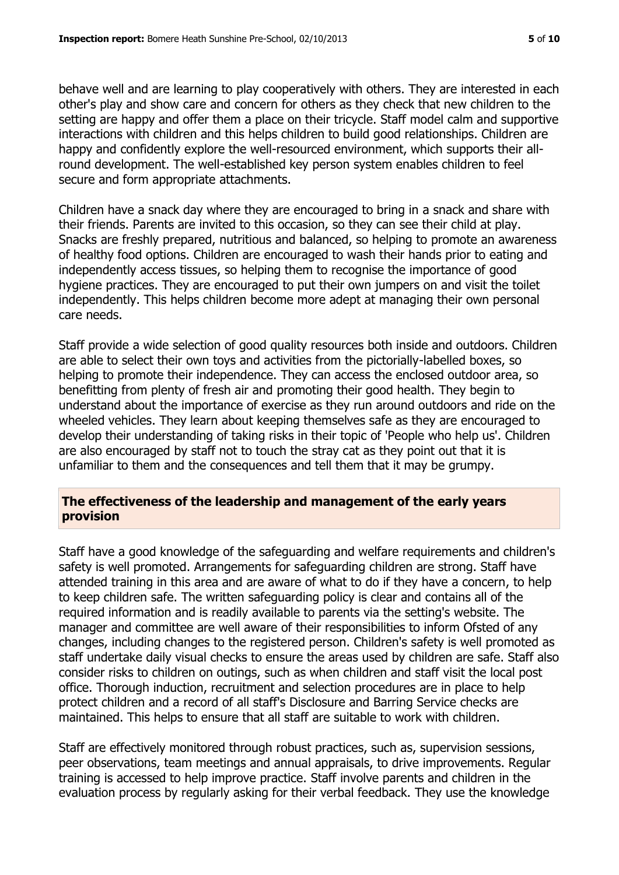behave well and are learning to play cooperatively with others. They are interested in each other's play and show care and concern for others as they check that new children to the setting are happy and offer them a place on their tricycle. Staff model calm and supportive interactions with children and this helps children to build good relationships. Children are happy and confidently explore the well-resourced environment, which supports their allround development. The well-established key person system enables children to feel secure and form appropriate attachments.

Children have a snack day where they are encouraged to bring in a snack and share with their friends. Parents are invited to this occasion, so they can see their child at play. Snacks are freshly prepared, nutritious and balanced, so helping to promote an awareness of healthy food options. Children are encouraged to wash their hands prior to eating and independently access tissues, so helping them to recognise the importance of good hygiene practices. They are encouraged to put their own jumpers on and visit the toilet independently. This helps children become more adept at managing their own personal care needs.

Staff provide a wide selection of good quality resources both inside and outdoors. Children are able to select their own toys and activities from the pictorially-labelled boxes, so helping to promote their independence. They can access the enclosed outdoor area, so benefitting from plenty of fresh air and promoting their good health. They begin to understand about the importance of exercise as they run around outdoors and ride on the wheeled vehicles. They learn about keeping themselves safe as they are encouraged to develop their understanding of taking risks in their topic of 'People who help us'. Children are also encouraged by staff not to touch the stray cat as they point out that it is unfamiliar to them and the consequences and tell them that it may be grumpy.

# **The effectiveness of the leadership and management of the early years provision**

Staff have a good knowledge of the safeguarding and welfare requirements and children's safety is well promoted. Arrangements for safeguarding children are strong. Staff have attended training in this area and are aware of what to do if they have a concern, to help to keep children safe. The written safeguarding policy is clear and contains all of the required information and is readily available to parents via the setting's website. The manager and committee are well aware of their responsibilities to inform Ofsted of any changes, including changes to the registered person. Children's safety is well promoted as staff undertake daily visual checks to ensure the areas used by children are safe. Staff also consider risks to children on outings, such as when children and staff visit the local post office. Thorough induction, recruitment and selection procedures are in place to help protect children and a record of all staff's Disclosure and Barring Service checks are maintained. This helps to ensure that all staff are suitable to work with children.

Staff are effectively monitored through robust practices, such as, supervision sessions, peer observations, team meetings and annual appraisals, to drive improvements. Regular training is accessed to help improve practice. Staff involve parents and children in the evaluation process by regularly asking for their verbal feedback. They use the knowledge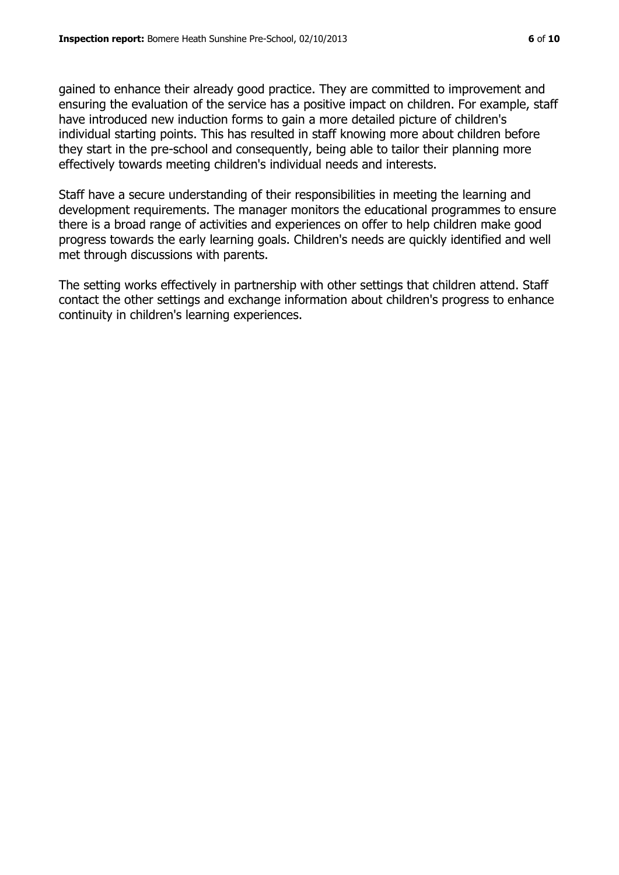gained to enhance their already good practice. They are committed to improvement and ensuring the evaluation of the service has a positive impact on children. For example, staff have introduced new induction forms to gain a more detailed picture of children's individual starting points. This has resulted in staff knowing more about children before they start in the pre-school and consequently, being able to tailor their planning more effectively towards meeting children's individual needs and interests.

Staff have a secure understanding of their responsibilities in meeting the learning and development requirements. The manager monitors the educational programmes to ensure there is a broad range of activities and experiences on offer to help children make good progress towards the early learning goals. Children's needs are quickly identified and well met through discussions with parents.

The setting works effectively in partnership with other settings that children attend. Staff contact the other settings and exchange information about children's progress to enhance continuity in children's learning experiences.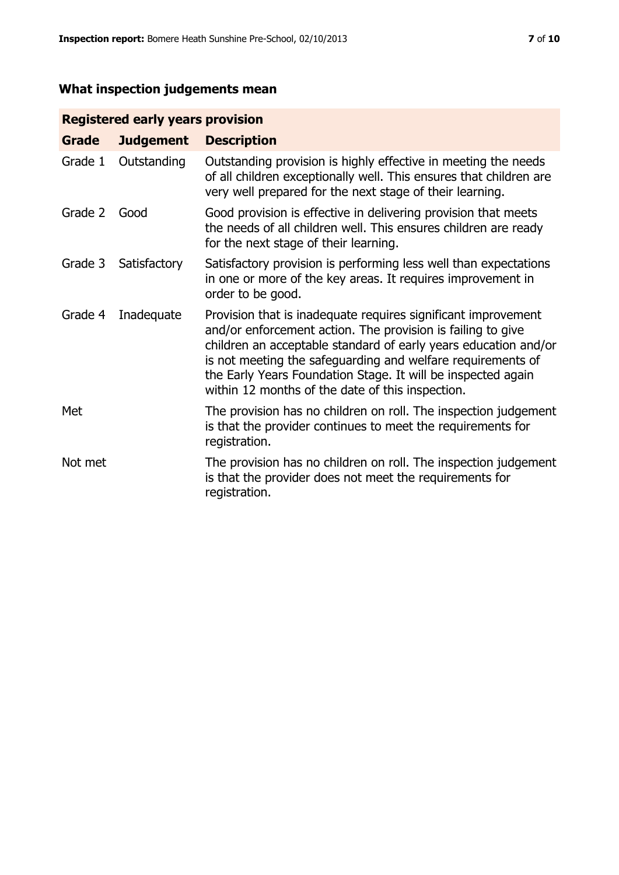# **What inspection judgements mean**

# **Registered early years provision**

| Grade   | <b>Judgement</b> | <b>Description</b>                                                                                                                                                                                                                                                                                                                                                                 |
|---------|------------------|------------------------------------------------------------------------------------------------------------------------------------------------------------------------------------------------------------------------------------------------------------------------------------------------------------------------------------------------------------------------------------|
| Grade 1 | Outstanding      | Outstanding provision is highly effective in meeting the needs<br>of all children exceptionally well. This ensures that children are<br>very well prepared for the next stage of their learning.                                                                                                                                                                                   |
| Grade 2 | Good             | Good provision is effective in delivering provision that meets<br>the needs of all children well. This ensures children are ready<br>for the next stage of their learning.                                                                                                                                                                                                         |
| Grade 3 | Satisfactory     | Satisfactory provision is performing less well than expectations<br>in one or more of the key areas. It requires improvement in<br>order to be good.                                                                                                                                                                                                                               |
| Grade 4 | Inadequate       | Provision that is inadequate requires significant improvement<br>and/or enforcement action. The provision is failing to give<br>children an acceptable standard of early years education and/or<br>is not meeting the safeguarding and welfare requirements of<br>the Early Years Foundation Stage. It will be inspected again<br>within 12 months of the date of this inspection. |
| Met     |                  | The provision has no children on roll. The inspection judgement<br>is that the provider continues to meet the requirements for<br>registration.                                                                                                                                                                                                                                    |
| Not met |                  | The provision has no children on roll. The inspection judgement<br>is that the provider does not meet the requirements for<br>registration.                                                                                                                                                                                                                                        |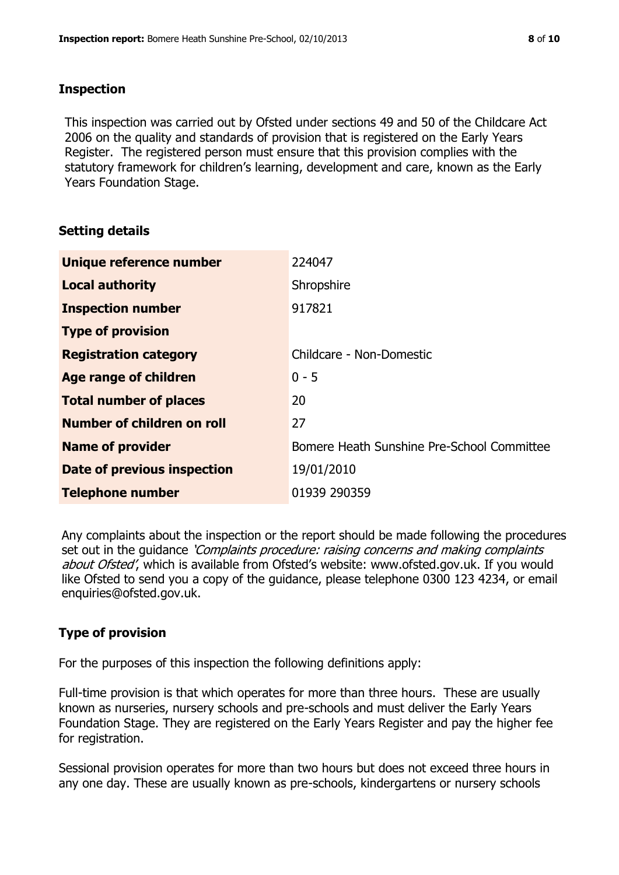### **Inspection**

This inspection was carried out by Ofsted under sections 49 and 50 of the Childcare Act 2006 on the quality and standards of provision that is registered on the Early Years Register. The registered person must ensure that this provision complies with the statutory framework for children's learning, development and care, known as the Early Years Foundation Stage.

# **Setting details**

| Unique reference number            | 224047                                     |
|------------------------------------|--------------------------------------------|
| <b>Local authority</b>             | Shropshire                                 |
| <b>Inspection number</b>           | 917821                                     |
| <b>Type of provision</b>           |                                            |
| <b>Registration category</b>       | Childcare - Non-Domestic                   |
| Age range of children              | $0 - 5$                                    |
| <b>Total number of places</b>      | 20                                         |
| Number of children on roll         | 27                                         |
| <b>Name of provider</b>            | Bomere Heath Sunshine Pre-School Committee |
| <b>Date of previous inspection</b> | 19/01/2010                                 |
| <b>Telephone number</b>            | 01939 290359                               |

Any complaints about the inspection or the report should be made following the procedures set out in the guidance *'Complaints procedure: raising concerns and making complaints* about Ofsted', which is available from Ofsted's website: www.ofsted.gov.uk. If you would like Ofsted to send you a copy of the guidance, please telephone 0300 123 4234, or email enquiries@ofsted.gov.uk.

# **Type of provision**

For the purposes of this inspection the following definitions apply:

Full-time provision is that which operates for more than three hours. These are usually known as nurseries, nursery schools and pre-schools and must deliver the Early Years Foundation Stage. They are registered on the Early Years Register and pay the higher fee for registration.

Sessional provision operates for more than two hours but does not exceed three hours in any one day. These are usually known as pre-schools, kindergartens or nursery schools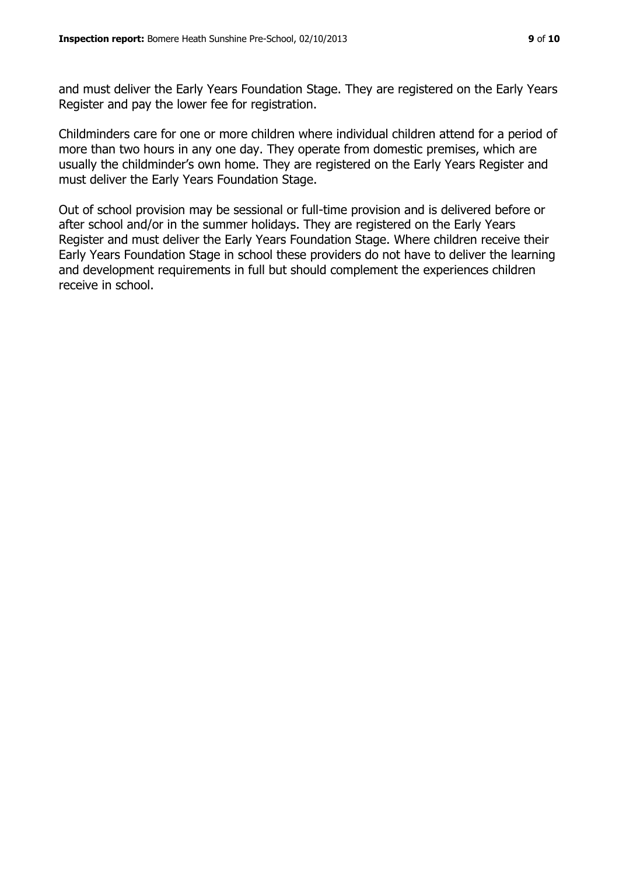and must deliver the Early Years Foundation Stage. They are registered on the Early Years Register and pay the lower fee for registration.

Childminders care for one or more children where individual children attend for a period of more than two hours in any one day. They operate from domestic premises, which are usually the childminder's own home. They are registered on the Early Years Register and must deliver the Early Years Foundation Stage.

Out of school provision may be sessional or full-time provision and is delivered before or after school and/or in the summer holidays. They are registered on the Early Years Register and must deliver the Early Years Foundation Stage. Where children receive their Early Years Foundation Stage in school these providers do not have to deliver the learning and development requirements in full but should complement the experiences children receive in school.